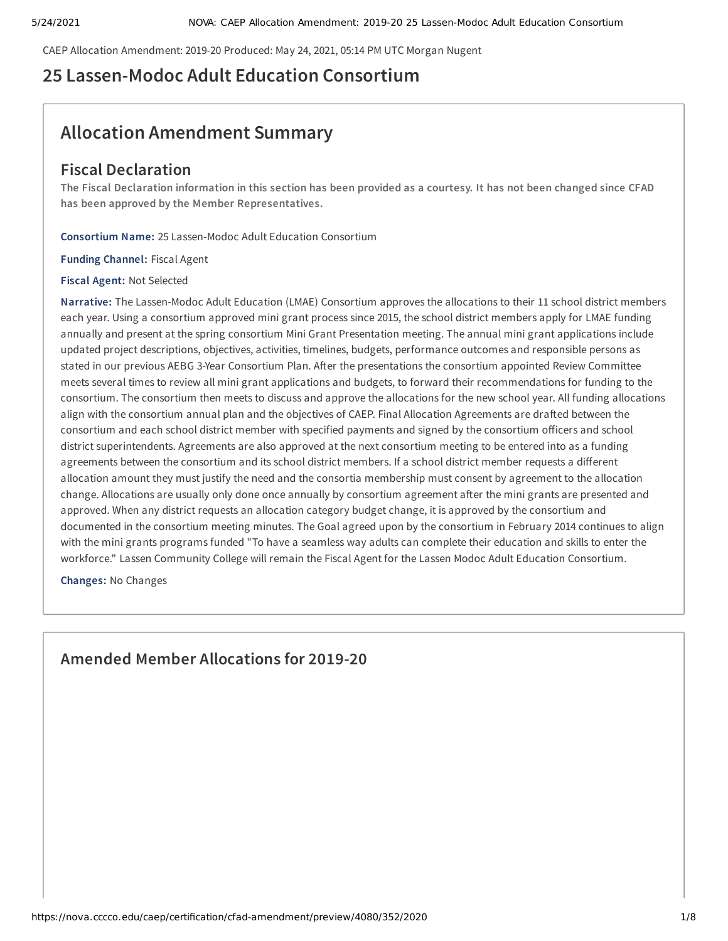CAEP Allocation Amendment: 2019-20 Produced: May 24, 2021, 05:14 PM UTC Morgan Nugent

## **25 Lassen-Modoc Adult Education Consortium**

## **Allocation Amendment Summary**

## **Fiscal Declaration**

The Fiscal Declaration information in this section has been provided as a courtesy. It has not been changed since CFAD **has been approved by the Member Representatives.**

**Consortium Name:** 25 Lassen-Modoc Adult Education Consortium

**Funding Channel:** Fiscal Agent

**Fiscal Agent:** Not Selected

**Narrative:** The Lassen-Modoc Adult Education (LMAE) Consortium approves the allocations to their 11 school district members each year. Using a consortium approved mini grant process since 2015, the school district members apply for LMAE funding annually and present at the spring consortium Mini Grant Presentation meeting. The annual mini grant applications include updated project descriptions, objectives, activities, timelines, budgets, performance outcomes and responsible persons as stated in our previous AEBG 3-Year Consortium Plan. After the presentations the consortium appointed Review Committee meets several times to review all mini grant applications and budgets, to forward their recommendations for funding to the consortium. The consortium then meets to discuss and approve the allocations for the new school year. All funding allocations align with the consortium annual plan and the objectives of CAEP. Final Allocation Agreements are drafted between the consortium and each school district member with specified payments and signed by the consortium officers and school district superintendents. Agreements are also approved at the next consortium meeting to be entered into as a funding agreements between the consortium and its school district members. If a school district member requests a different allocation amount they must justify the need and the consortia membership must consent by agreement to the allocation change. Allocations are usually only done once annually by consortium agreement after the mini grants are presented and approved. When any district requests an allocation category budget change, it is approved by the consortium and documented in the consortium meeting minutes. The Goal agreed upon by the consortium in February 2014 continues to align with the mini grants programs funded "To have a seamless way adults can complete their education and skills to enter the workforce." Lassen Community College will remain the Fiscal Agent for the Lassen Modoc Adult Education Consortium.

**Changes:** No Changes

**Amended Member Allocations for 2019-20**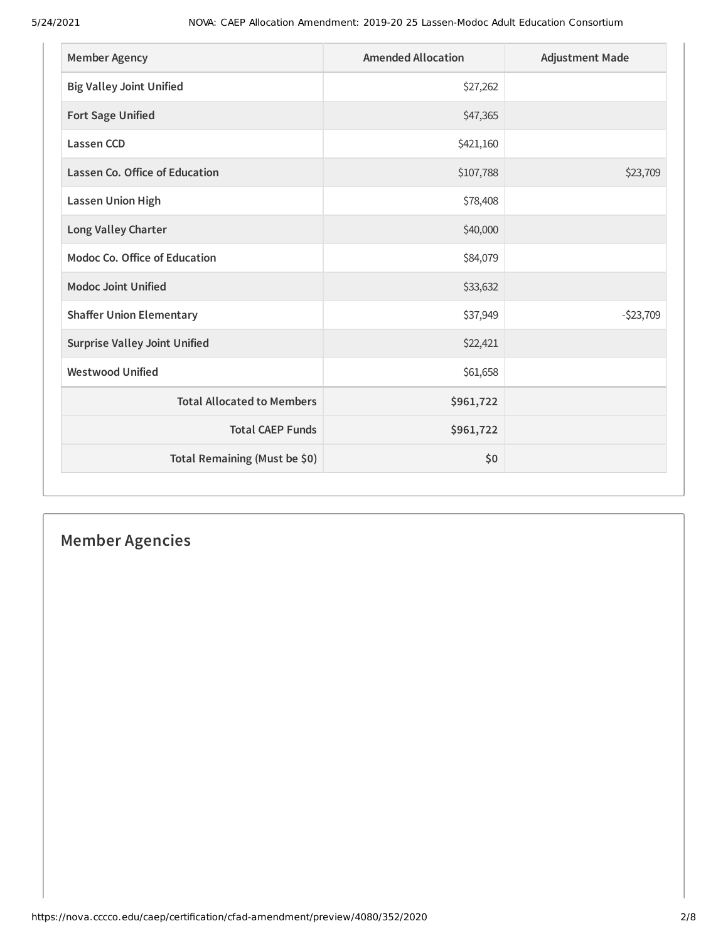| <b>Member Agency</b>                  | <b>Amended Allocation</b> | <b>Adjustment Made</b> |
|---------------------------------------|---------------------------|------------------------|
| <b>Big Valley Joint Unified</b>       | \$27,262                  |                        |
| <b>Fort Sage Unified</b>              | \$47,365                  |                        |
| <b>Lassen CCD</b>                     | \$421,160                 |                        |
| <b>Lassen Co. Office of Education</b> | \$107,788                 | \$23,709               |
| <b>Lassen Union High</b>              | \$78,408                  |                        |
| Long Valley Charter                   | \$40,000                  |                        |
| Modoc Co. Office of Education         | \$84,079                  |                        |
| <b>Modoc Joint Unified</b>            | \$33,632                  |                        |
| <b>Shaffer Union Elementary</b>       | \$37,949                  | $-523,709$             |
| <b>Surprise Valley Joint Unified</b>  | \$22,421                  |                        |
| <b>Westwood Unified</b>               | \$61,658                  |                        |
| <b>Total Allocated to Members</b>     | \$961,722                 |                        |
| <b>Total CAEP Funds</b>               | \$961,722                 |                        |
| Total Remaining (Must be \$0)         | \$0                       |                        |

# **Member Agencies**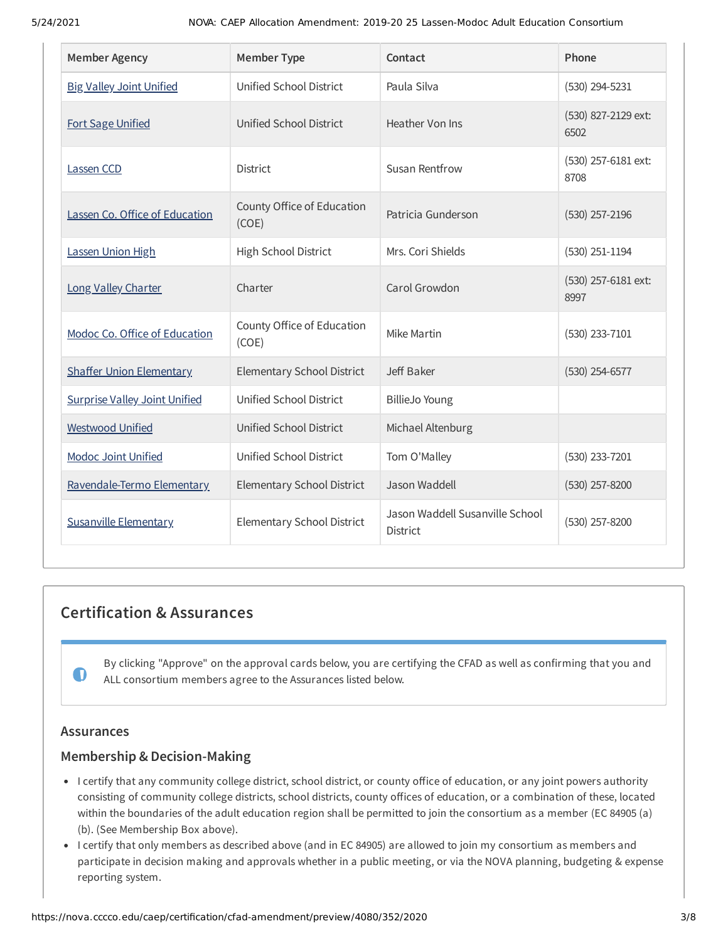| <b>Member Agency</b>                 | <b>Member Type</b>                  | Contact                                     | Phone                       |
|--------------------------------------|-------------------------------------|---------------------------------------------|-----------------------------|
| <b>Big Valley Joint Unified</b>      | Unified School District             | Paula Silva                                 | $(530)$ 294-5231            |
| <b>Fort Sage Unified</b>             | Unified School District             | Heather Von Ins                             | (530) 827-2129 ext:<br>6502 |
| Lassen CCD                           | <b>District</b>                     | Susan Rentfrow                              | (530) 257-6181 ext:<br>8708 |
| Lassen Co. Office of Education       | County Office of Education<br>(COE) | Patricia Gunderson                          | $(530)$ 257-2196            |
| Lassen Union High                    | High School District                | Mrs. Cori Shields                           | $(530)$ 251-1194            |
| Long Valley Charter                  | Charter                             | Carol Growdon                               | (530) 257-6181 ext:<br>8997 |
| Modoc Co. Office of Education        | County Office of Education<br>(COE) | Mike Martin                                 | (530) 233-7101              |
| <b>Shaffer Union Elementary</b>      | Elementary School District          | Jeff Baker                                  | $(530)$ 254-6577            |
| <b>Surprise Valley Joint Unified</b> | Unified School District             | <b>BillieJo Young</b>                       |                             |
| <b>Westwood Unified</b>              | Unified School District             | Michael Altenburg                           |                             |
| <b>Modoc Joint Unified</b>           | Unified School District             | Tom O'Malley                                | (530) 233-7201              |
| Ravendale-Termo Elementary           | <b>Elementary School District</b>   | Jason Waddell                               | (530) 257-8200              |
| <b>Susanville Elementary</b>         | Elementary School District          | Jason Waddell Susanville School<br>District | (530) 257-8200              |

## **Certification & Assurances**

By clicking "Approve" on the approval cards below, you are certifying the CFAD as well as confirming that you and ALL consortium members agree to the Assurances listed below.

## **Assurances**

 $\mathbf 0$ 

## **Membership & Decision-Making**

- I certify that any community college district, school district, or county office of education, or any joint powers authority consisting of community college districts, school districts, county offices of education, or a combination of these, located within the boundaries of the adult education region shall be permitted to join the consortium as a member (EC 84905 (a) (b). (See Membership Box above).
- I certify that only members as described above (and in EC 84905) are allowed to join my consortium as members and participate in decision making and approvals whether in a public meeting, or via the NOVA planning, budgeting & expense reporting system.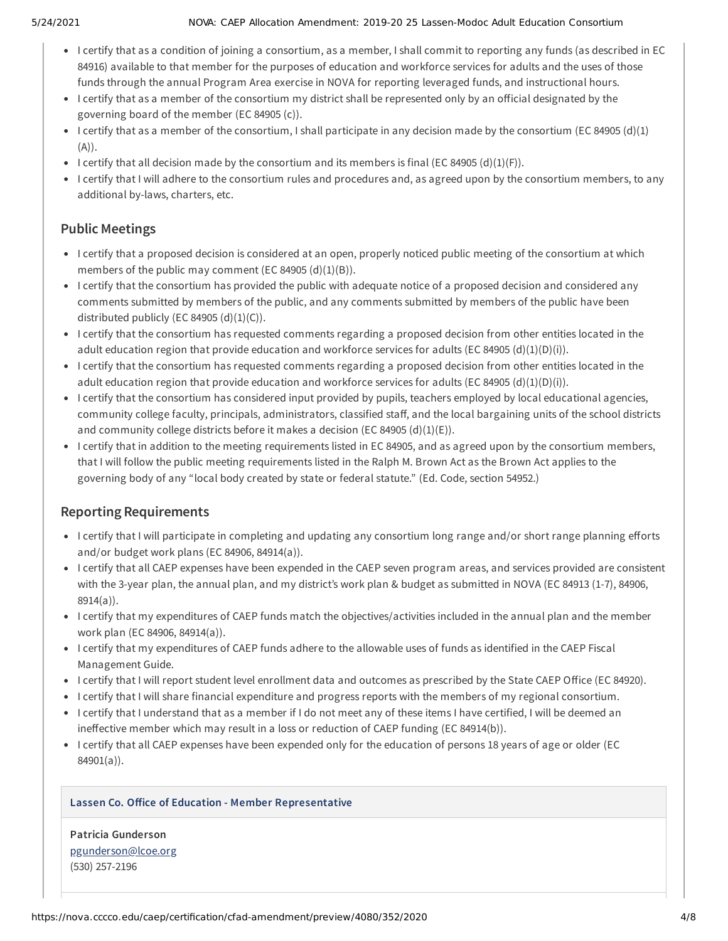#### 5/24/2021 NOVA: CAEP Allocation Amendment: 2019-20 25 Lassen-Modoc Adult Education Consortium

- I certify that as a condition of joining a consortium, as a member, I shall commit to reporting any funds (as described in EC 84916) available to that member for the purposes of education and workforce services for adults and the uses of those funds through the annual Program Area exercise in NOVA for reporting leveraged funds, and instructional hours.
- I certify that as a member of the consortium my district shall be represented only by an official designated by the governing board of the member (EC 84905 (c)).
- I certify that as a member of the consortium, I shall participate in any decision made by the consortium (EC 84905 (d)(1)  $(A)$ ).
- I certify that all decision made by the consortium and its members is final (EC 84905 (d)(1)(F)).
- I certify that I will adhere to the consortium rules and procedures and, as agreed upon by the consortium members, to any additional by-laws, charters, etc.

## **Public Meetings**

- I certify that a proposed decision is considered at an open, properly noticed public meeting of the consortium at which members of the public may comment (EC 84905  $(d)(1)(B)$ ).
- I certify that the consortium has provided the public with adequate notice of a proposed decision and considered any comments submitted by members of the public, and any comments submitted by members of the public have been distributed publicly (EC 84905  $(d)(1)(C)$ ).
- I certify that the consortium has requested comments regarding a proposed decision from other entities located in the adult education region that provide education and workforce services for adults (EC 84905 (d)(1)(D)(i)).
- I certify that the consortium has requested comments regarding a proposed decision from other entities located in the adult education region that provide education and workforce services for adults (EC 84905 (d)(1)(D)(i)).
- I certify that the consortium has considered input provided by pupils, teachers employed by local educational agencies, community college faculty, principals, administrators, classified staff, and the local bargaining units of the school districts and community college districts before it makes a decision (EC 84905 (d)(1)(E)).
- I certify that in addition to the meeting requirements listed in EC 84905, and as agreed upon by the consortium members, that I will follow the public meeting requirements listed in the Ralph M. Brown Act as the Brown Act applies to the governing body of any "local body created by state or federal statute." (Ed. Code, section 54952.)

## **Reporting Requirements**

- I certify that I will participate in completing and updating any consortium long range and/or short range planning efforts and/or budget work plans (EC 84906, 84914(a)).
- I certify that all CAEP expenses have been expended in the CAEP seven program areas, and services provided are consistent with the 3-year plan, the annual plan, and my district's work plan & budget as submitted in NOVA (EC 84913 (1-7), 84906, 8914(a)).
- I certify that my expenditures of CAEP funds match the objectives/activities included in the annual plan and the member work plan (EC 84906, 84914(a)).
- I certify that my expenditures of CAEP funds adhere to the allowable uses of funds as identified in the CAEP Fiscal Management Guide.
- I certify that I will report student level enrollment data and outcomes as prescribed by the State CAEP Office (EC 84920).
- I certify that I will share financial expenditure and progress reports with the members of my regional consortium.
- I certify that I understand that as a member if I do not meet any of these items I have certified, I will be deemed an ineffective member which may result in a loss or reduction of CAEP funding (EC 84914(b)).
- I certify that all CAEP expenses have been expended only for the education of persons 18 years of age or older (EC 84901(a)).

### **Lassen Co. Oice of Education - Member Representative**

**Patricia Gunderson** [pgunderson@lcoe.org](mailto:pgunderson@lcoe.org) (530) 257-2196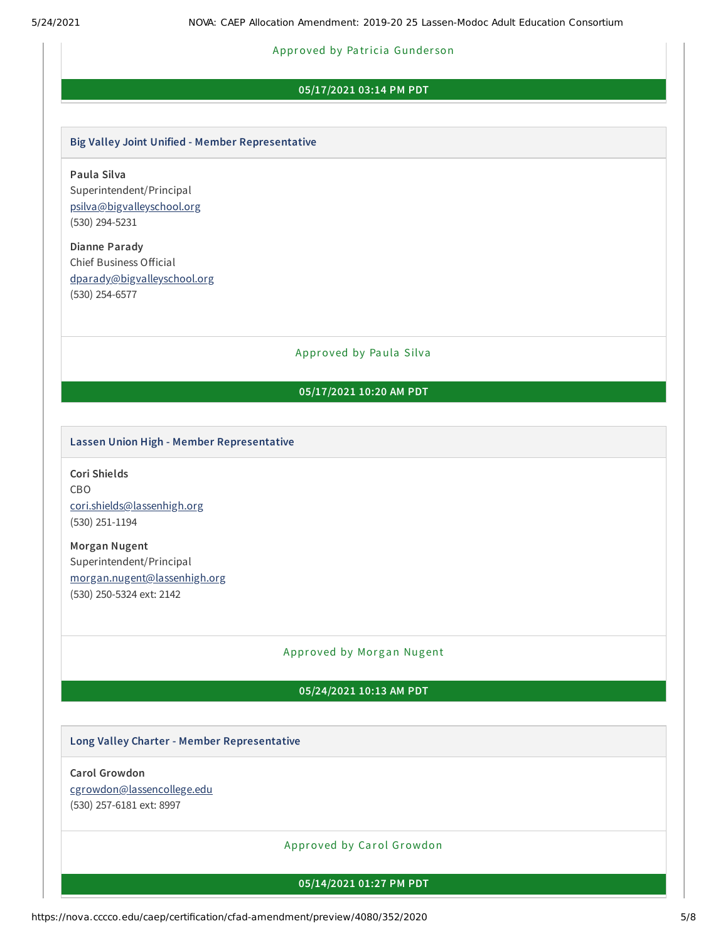#### Approved by Pa tricia Gunder son

#### **05/17/2021 03:14 PM PDT**

#### **Big Valley Joint Unified - Member Representative**

**Paula Silva** Superintendent/Principal [psilva@bigvalleyschool.org](mailto:psilva@bigvalleyschool.org) (530) 294-5231

**Dianne Parady** Chief Business Official [dparady@bigvalleyschool.org](mailto:dparady@bigvalleyschool.org) (530) 254-6577

Approved by Paula Silva

### **05/17/2021 10:20 AM PDT**

#### **Lassen Union High - Member Representative**

**Cori Shields** CBO [cori.shields@lassenhigh.org](mailto:cori.shields@lassenhigh.org) (530) 251-1194

**Morgan Nugent** Superintendent/Principal [morgan.nugent@lassenhigh.org](mailto:morgan.nugent@lassenhigh.org) (530) 250-5324 ext: 2142

#### Approved by Morgan Nugent

#### **05/24/2021 10:13 AM PDT**

#### **Long Valley Charter - Member Representative**

#### **Carol Growdon**

[cgrowdon@lassencollege.edu](mailto:cgrowdon@lassencollege.edu)

(530) 257-6181 ext: 8997

Approved by Carol Growdon

**05/14/2021 01:27 PM PDT**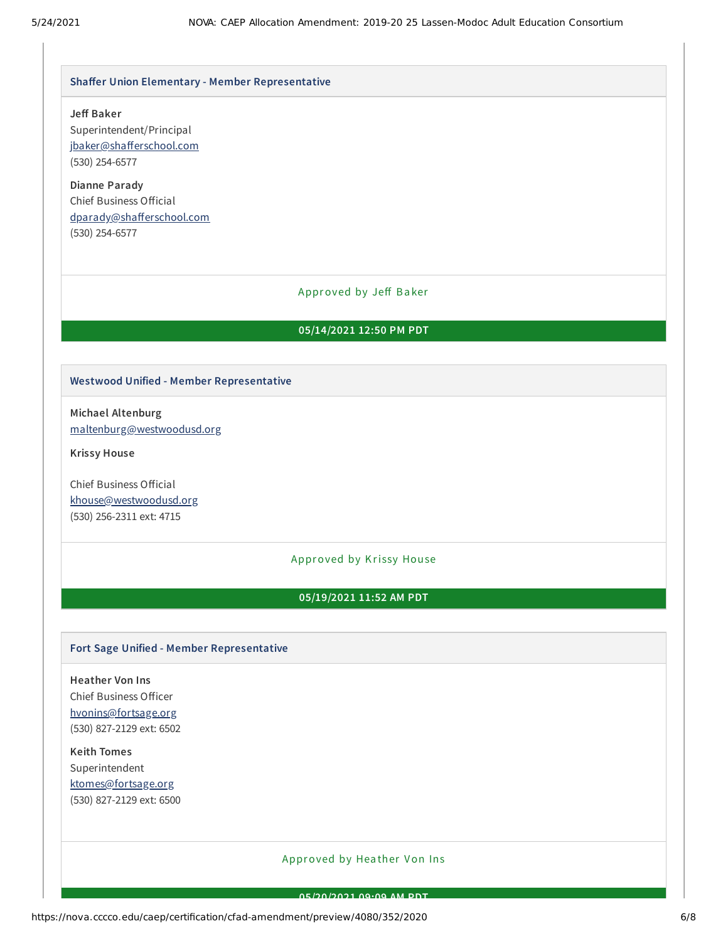#### **Shaer Union Elementary - Member Representative**

#### **Je Baker**

Superintendent/Principal jbaker@shafferschool.com (530) 254-6577

**Dianne Parady** Chief Business Official dparady@shafferschool.com (530) 254-6577

#### Approved by Jeff Baker

#### **05/14/2021 12:50 PM PDT**

#### **Westwood Unified - Member Representative**

**Michael Altenburg** [maltenburg@westwoodusd.org](mailto:maltenburg@westwoodusd.org)

**Krissy House**

Chief Business Official [khouse@westwoodusd.org](mailto:khouse@westwoodusd.org) (530) 256-2311 ext: 4715

#### Approved by Krissy House

#### **05/19/2021 11:52 AM PDT**

#### **Fort Sage Unified - Member Representative**

**Heather Von Ins** Chief Business Officer [hvonins@fortsage.org](mailto:hvonins@fortsage.org) (530) 827-2129 ext: 6502

**Keith Tomes** Superintendent [ktomes@fortsage.org](mailto:ktomes@fortsage.org) (530) 827-2129 ext: 6500

#### Approved by Hea ther Von Ins

**05/20/2021 09:09 AM PDT**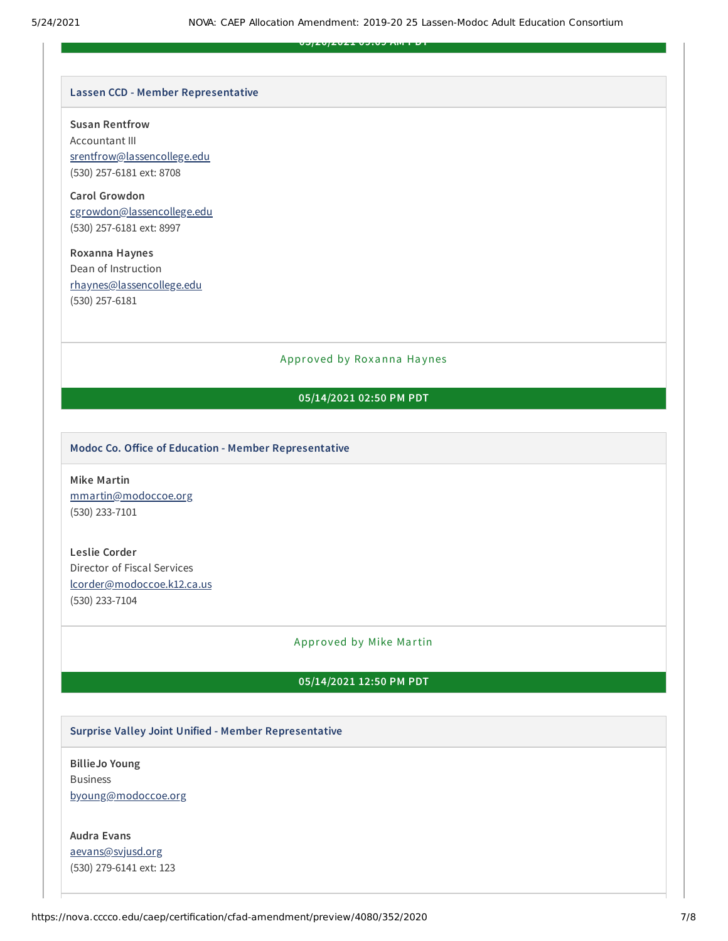**05/20/2021 09:09 AM PDT**

#### **Lassen CCD - Member Representative**

**Susan Rentfrow**

Accountant III [srentfrow@lassencollege.edu](mailto:srentfrow@lassencollege.edu) (530) 257-6181 ext: 8708

**Carol Growdon** [cgrowdon@lassencollege.edu](mailto:cgrowdon@lassencollege.edu) (530) 257-6181 ext: 8997

**Roxanna Haynes** Dean of Instruction [rhaynes@lassencollege.edu](mailto:rhaynes@lassencollege.edu) (530) 257-6181

#### Approved by Roxanna Haynes

#### **05/14/2021 02:50 PM PDT**

#### **Modoc Co. Oice of Education - Member Representative**

**Mike Martin** [mmartin@modoccoe.org](mailto:mmartin@modoccoe.org) (530) 233-7101

**Leslie Corder** Director of Fiscal Services [lcorder@modoccoe.k12.ca.us](mailto:lcorder@modoccoe.k12.ca.us) (530) 233-7104

#### Approved by Mike Martin

#### **05/14/2021 12:50 PM PDT**

#### **Surprise Valley Joint Unified - Member Representative**

**BillieJo Young** Business [byoung@modoccoe.org](mailto:byoung@modoccoe.org)

**Audra Evans** [aevans@svjusd.org](mailto:aevans@svjusd.org) (530) 279-6141 ext: 123